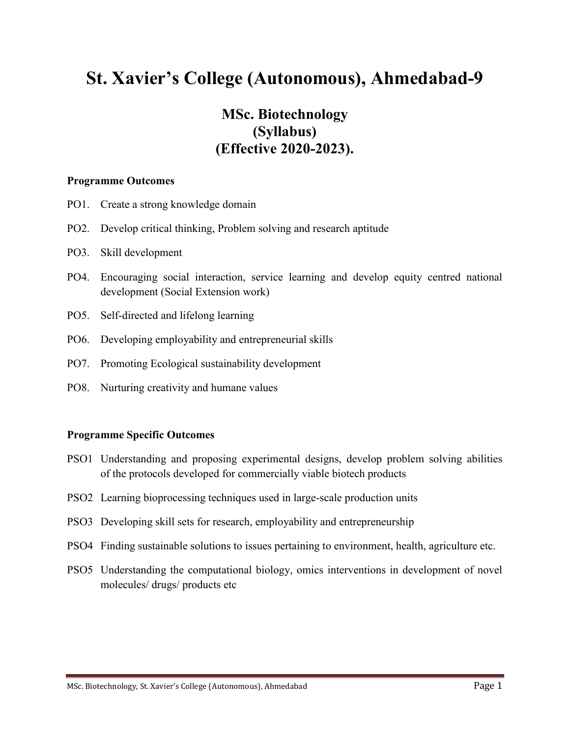# **St. Xavier's College (Autonomous), Ahmedabad-9**

## **MSc. Biotechnology (Syllabus) (Effective 2020-2023).**

#### **Programme Outcomes**

- PO1. Create a strong knowledge domain
- PO2. Develop critical thinking, Problem solving and research aptitude
- PO3. Skill development
- PO4. Encouraging social interaction, service learning and develop equity centred national development (Social Extension work)
- PO5. Self-directed and lifelong learning
- PO6. Developing employability and entrepreneurial skills
- PO7. Promoting Ecological sustainability development
- PO8. Nurturing creativity and humane values

#### **Programme Specific Outcomes**

- PSO1 Understanding and proposing experimental designs, develop problem solving abilities of the protocols developed for commercially viable biotech products
- PSO2 Learning bioprocessing techniques used in large-scale production units
- PSO3 Developing skill sets for research, employability and entrepreneurship
- PSO4 Finding sustainable solutions to issues pertaining to environment, health, agriculture etc.
- PSO5 Understanding the computational biology, omics interventions in development of novel molecules/ drugs/ products etc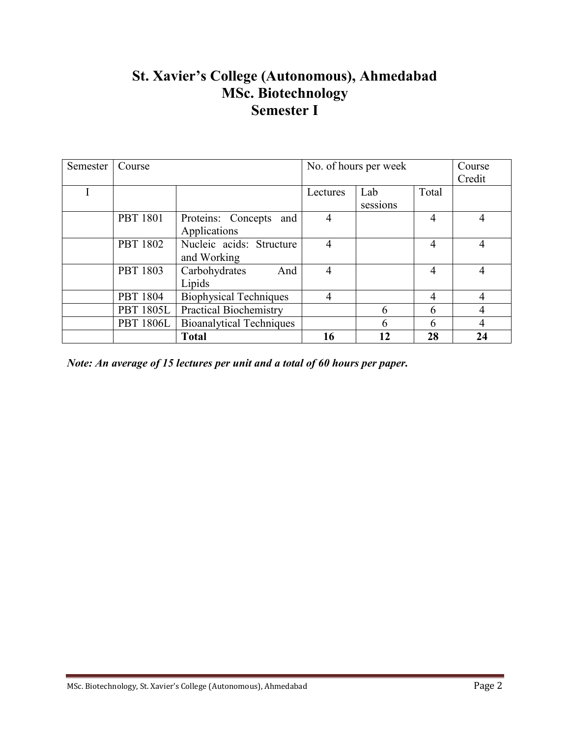## **St. Xavier's College (Autonomous), Ahmedabad MSc. Biotechnology Semester I**

| Semester | Course           |                                           | No. of hours per week |                 |       | Course<br>Credit |
|----------|------------------|-------------------------------------------|-----------------------|-----------------|-------|------------------|
|          |                  |                                           | Lectures              | Lab<br>sessions | Total |                  |
|          | <b>PBT 1801</b>  | Proteins: Concepts<br>and<br>Applications | $\overline{4}$        |                 | 4     | 4                |
|          | <b>PBT 1802</b>  | Nucleic acids: Structure<br>and Working   | 4                     |                 | 4     | 4                |
|          | <b>PBT 1803</b>  | Carbohydrates<br>And<br>Lipids            | $\overline{4}$        |                 | 4     | 4                |
|          | <b>PBT 1804</b>  | <b>Biophysical Techniques</b>             | 4                     |                 | 4     | 4                |
|          | <b>PBT 1805L</b> | <b>Practical Biochemistry</b>             |                       | 6               | 6     | $\overline{4}$   |
|          | <b>PBT 1806L</b> | <b>Bioanalytical Techniques</b>           |                       | 6               | 6     |                  |
|          |                  | <b>Total</b>                              | 16                    | 12              | 28    | 24               |

*Note: An average of 15 lectures per unit and a total of 60 hours per paper.*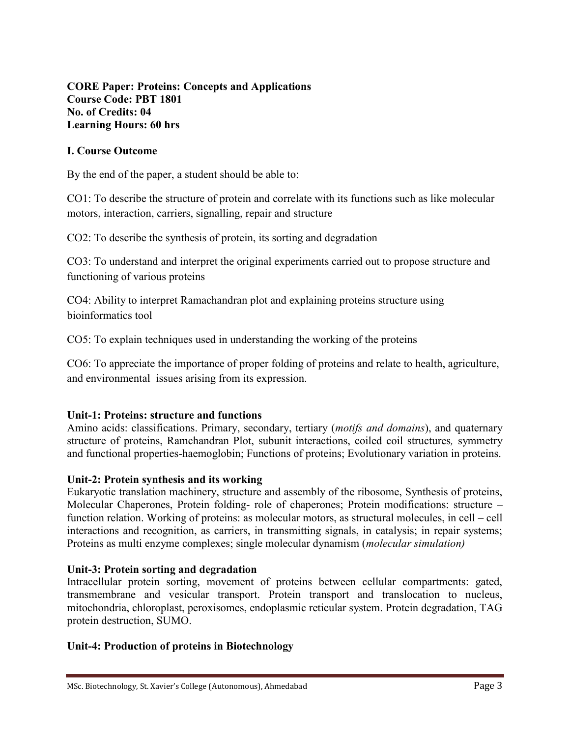## **CORE Paper: Proteins: Concepts and Applications Course Code: PBT 1801 No. of Credits: 04 Learning Hours: 60 hrs**

## **I. Course Outcome**

By the end of the paper, a student should be able to:

CO1: To describe the structure of protein and correlate with its functions such as like molecular motors, interaction, carriers, signalling, repair and structure

CO2: To describe the synthesis of protein, its sorting and degradation

CO3: To understand and interpret the original experiments carried out to propose structure and functioning of various proteins

CO4: Ability to interpret Ramachandran plot and explaining proteins structure using bioinformatics tool

CO5: To explain techniques used in understanding the working of the proteins

CO6: To appreciate the importance of proper folding of proteins and relate to health, agriculture, and environmental issues arising from its expression.

#### **Unit-1: Proteins: structure and functions**

Amino acids: classifications. Primary, secondary, tertiary (*motifs and domains*), and quaternary structure of proteins, Ramchandran Plot, subunit interactions, coiled coil structures*,* symmetry and functional properties-haemoglobin; Functions of proteins; Evolutionary variation in proteins.

#### **Unit-2: Protein synthesis and its working**

Eukaryotic translation machinery, structure and assembly of the ribosome, Synthesis of proteins, Molecular Chaperones, Protein folding- role of chaperones; Protein modifications: structure – function relation. Working of proteins: as molecular motors, as structural molecules, in cell – cell interactions and recognition, as carriers, in transmitting signals, in catalysis; in repair systems; Proteins as multi enzyme complexes; single molecular dynamism (*molecular simulation)*

#### **Unit-3: Protein sorting and degradation**

Intracellular protein sorting, movement of proteins between cellular compartments: gated, transmembrane and vesicular transport. Protein transport and translocation to nucleus, mitochondria, chloroplast, peroxisomes, endoplasmic reticular system. Protein degradation, TAG protein destruction, SUMO.

#### **Unit-4: Production of proteins in Biotechnology**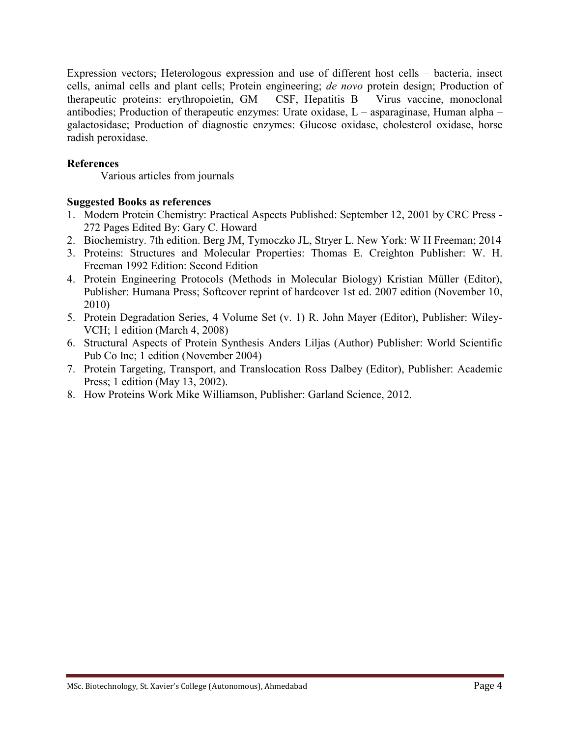Expression vectors; Heterologous expression and use of different host cells – bacteria, insect cells, animal cells and plant cells; Protein engineering; *de novo* protein design; Production of therapeutic proteins: erythropoietin,  $GM - \overline{CSF}$ , Hepatitis B – Virus vaccine, monoclonal antibodies; Production of therapeutic enzymes: Urate oxidase, L – asparaginase, Human alpha – galactosidase; Production of diagnostic enzymes: Glucose oxidase, cholesterol oxidase, horse radish peroxidase.

## **References**

Various articles from journals

- 1. Modern Protein Chemistry: Practical Aspects Published: September 12, 2001 by CRC Press 272 Pages Edited By: Gary C. Howard
- 2. Biochemistry. 7th edition. Berg JM, Tymoczko JL, Stryer L. New York: W H Freeman; 2014
- 3. Proteins: Structures and Molecular Properties: Thomas E. Creighton Publisher: W. H. Freeman 1992 Edition: Second Edition
- 4. Protein Engineering Protocols (Methods in Molecular Biology) Kristian Müller (Editor), Publisher: Humana Press; Softcover reprint of hardcover 1st ed. 2007 edition (November 10, 2010)
- 5. Protein Degradation Series, 4 Volume Set (v. 1) R. John Mayer (Editor), Publisher: Wiley-VCH; 1 edition (March 4, 2008)
- 6. Structural Aspects of Protein Synthesis Anders Liljas (Author) Publisher: World Scientific Pub Co Inc; 1 edition (November 2004)
- 7. Protein Targeting, Transport, and Translocation Ross Dalbey (Editor), Publisher: Academic Press; 1 edition (May 13, 2002).
- 8. How Proteins Work Mike Williamson, Publisher: Garland Science, 2012.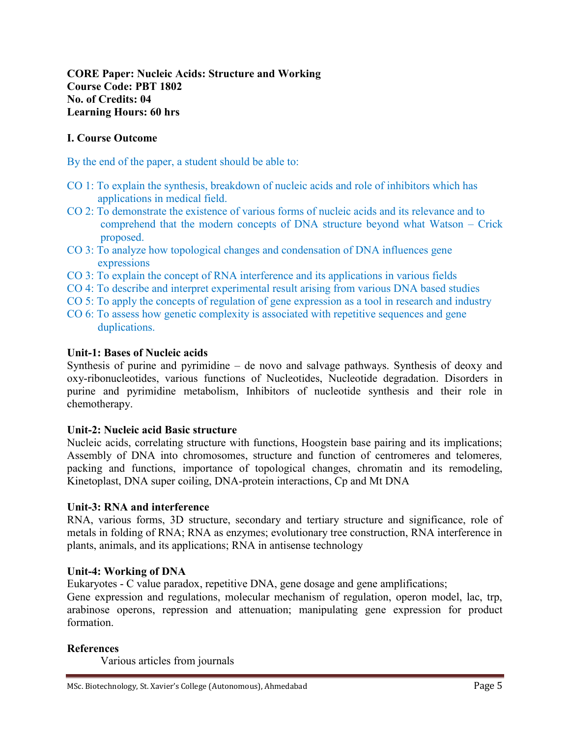**CORE Paper: Nucleic Acids: Structure and Working Course Code: PBT 1802 No. of Credits: 04 Learning Hours: 60 hrs**

#### **I. Course Outcome**

By the end of the paper, a student should be able to:

- CO 1: To explain the synthesis, breakdown of nucleic acids and role of inhibitors which has applications in medical field.
- CO 2: To demonstrate the existence of various forms of nucleic acids and its relevance and to comprehend that the modern concepts of DNA structure beyond what Watson – Crick proposed.
- CO 3: To analyze how topological changes and condensation of DNA influences gene expressions
- CO 3: To explain the concept of RNA interference and its applications in various fields
- CO 4: To describe and interpret experimental result arising from various DNA based studies
- CO 5: To apply the concepts of regulation of gene expression as a tool in research and industry
- CO 6: To assess how genetic complexity is associated with repetitive sequences and gene duplications.

#### **Unit-1: Bases of Nucleic acids**

Synthesis of purine and pyrimidine – de novo and salvage pathways. Synthesis of deoxy and oxy-ribonucleotides, various functions of Nucleotides, Nucleotide degradation. Disorders in purine and pyrimidine metabolism, Inhibitors of nucleotide synthesis and their role in chemotherapy.

#### **Unit-2: Nucleic acid Basic structure**

Nucleic acids, correlating structure with functions, Hoogstein base pairing and its implications; Assembly of DNA into chromosomes, structure and function of centromeres and telomeres*,*  packing and functions, importance of topological changes, chromatin and its remodeling, Kinetoplast, DNA super coiling, DNA-protein interactions, Cp and Mt DNA

#### **Unit-3: RNA and interference**

RNA, various forms, 3D structure, secondary and tertiary structure and significance, role of metals in folding of RNA; RNA as enzymes; evolutionary tree construction, RNA interference in plants, animals, and its applications; RNA in antisense technology

#### **Unit-4: Working of DNA**

Eukaryotes - C value paradox, repetitive DNA, gene dosage and gene amplifications;

Gene expression and regulations, molecular mechanism of regulation, operon model, lac, trp, arabinose operons, repression and attenuation; manipulating gene expression for product formation.

#### **References**

Various articles from journals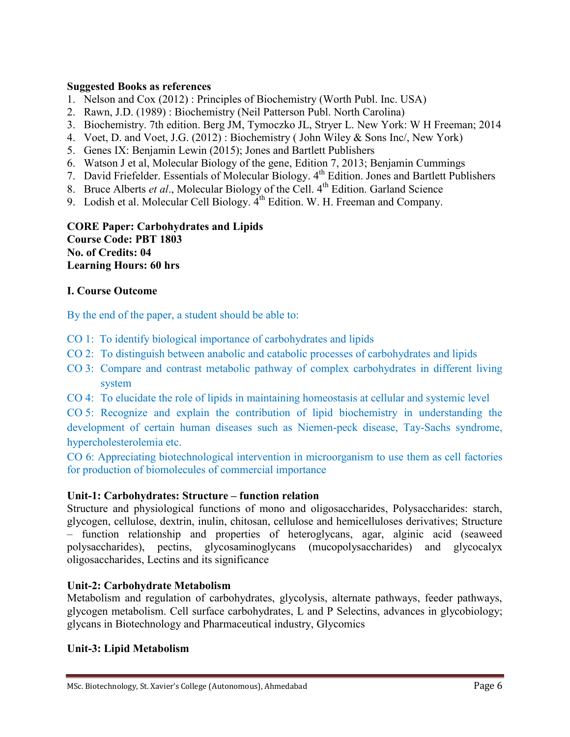## **Suggested Books as references**

- 1. Nelson and Cox (2012) : Principles of Biochemistry (Worth Publ. Inc. USA)
- 2. Rawn, J.D. (1989) : Biochemistry (Neil Patterson Publ. North Carolina)
- 3. Biochemistry. 7th edition. Berg JM, Tymoczko JL, Stryer L. New York: W H Freeman; 2014
- 4. Voet, D. and Voet, J.G. (2012) : Biochemistry ( John Wiley & Sons Inc/, New York)
- 5. Genes IX: Benjamin Lewin (2015); Jones and Bartlett Publishers
- 6. Watson J et al, Molecular Biology of the gene, Edition 7, 2013; Benjamin Cummings
- 7. David Friefelder. Essentials of Molecular Biology. 4<sup>th</sup> Edition. Jones and Bartlett Publishers
- 8. Bruce Alberts *et al*., Molecular Biology of the Cell. 4th Edition. Garland Science
- 9. Lodish et al. Molecular Cell Biology.  $4<sup>th</sup>$  Edition. W. H. Freeman and Company.

**CORE Paper: Carbohydrates and Lipids Course Code: PBT 1803 No. of Credits: 04 Learning Hours: 60 hrs**

## **I. Course Outcome**

By the end of the paper, a student should be able to:

- CO 1: To identify biological importance of carbohydrates and lipids
- CO 2: To distinguish between anabolic and catabolic processes of carbohydrates and lipids
- CO 3: Compare and contrast metabolic pathway of complex carbohydrates in different living system
- CO 4: To elucidate the role of lipids in maintaining homeostasis at cellular and systemic level

CO 5: Recognize and explain the contribution of lipid biochemistry in understanding the development of certain human diseases such as Niemen-peck disease, Tay-Sachs syndrome, hypercholesterolemia etc.

CO 6: Appreciating biotechnological intervention in microorganism to use them as cell factories for production of biomolecules of commercial importance

## **Unit-1: Carbohydrates: Structure – function relation**

Structure and physiological functions of mono and oligosaccharides, Polysaccharides: starch, glycogen, cellulose, dextrin, inulin, chitosan, cellulose and hemicelluloses derivatives; Structure – function relationship and properties of heteroglycans, agar, alginic acid (seaweed polysaccharides), pectins, glycosaminoglycans (mucopolysaccharides) and glycocalyx oligosaccharides, Lectins and its significance

## **Unit-2: Carbohydrate Metabolism**

Metabolism and regulation of carbohydrates, glycolysis, alternate pathways, feeder pathways, glycogen metabolism. Cell surface carbohydrates, L and P Selectins, advances in glycobiology; glycans in Biotechnology and Pharmaceutical industry, Glycomics

#### **Unit-3: Lipid Metabolism**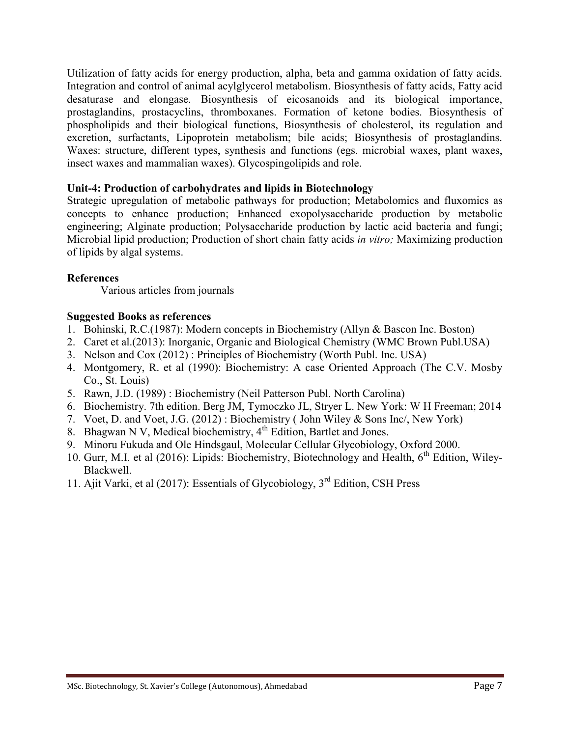Utilization of fatty acids for energy production, alpha, beta and gamma oxidation of fatty acids. Integration and control of animal acylglycerol metabolism. Biosynthesis of fatty acids, Fatty acid desaturase and elongase. Biosynthesis of eicosanoids and its biological importance, prostaglandins, prostacyclins, thromboxanes. Formation of ketone bodies. Biosynthesis of phospholipids and their biological functions, Biosynthesis of cholesterol, its regulation and excretion, surfactants, Lipoprotein metabolism; bile acids; Biosynthesis of prostaglandins. Waxes: structure, different types, synthesis and functions (egs. microbial waxes, plant waxes, insect waxes and mammalian waxes). Glycospingolipids and role.

## **Unit-4: Production of carbohydrates and lipids in Biotechnology**

Strategic upregulation of metabolic pathways for production; Metabolomics and fluxomics as concepts to enhance production; Enhanced exopolysaccharide production by metabolic engineering; Alginate production; Polysaccharide production by lactic acid bacteria and fungi; Microbial lipid production; Production of short chain fatty acids *in vitro;* Maximizing production of lipids by algal systems.

#### **References**

Various articles from journals

- 1. Bohinski, R.C.(1987): Modern concepts in Biochemistry (Allyn & Bascon Inc. Boston)
- 2. Caret et al.(2013): Inorganic, Organic and Biological Chemistry (WMC Brown Publ.USA)
- 3. Nelson and Cox (2012) : Principles of Biochemistry (Worth Publ. Inc. USA)
- 4. Montgomery, R. et al (1990): Biochemistry: A case Oriented Approach (The C.V. Mosby Co., St. Louis)
- 5. Rawn, J.D. (1989) : Biochemistry (Neil Patterson Publ. North Carolina)
- 6. Biochemistry. 7th edition. Berg JM, Tymoczko JL, Stryer L. New York: W H Freeman; 2014
- 7. Voet, D. and Voet, J.G. (2012) : Biochemistry ( John Wiley & Sons Inc/, New York)
- 8. Bhagwan N V, Medical biochemistry, 4<sup>th</sup> Edition, Bartlet and Jones.
- 9. Minoru Fukuda and Ole Hindsgaul, Molecular Cellular Glycobiology, Oxford 2000.
- 10. Gurr, M.I. et al (2016): Lipids: Biochemistry, Biotechnology and Health,  $6<sup>th</sup>$  Edition, Wiley-Blackwell.
- 11. Ajit Varki, et al (2017): Essentials of Glycobiology, 3rd Edition, CSH Press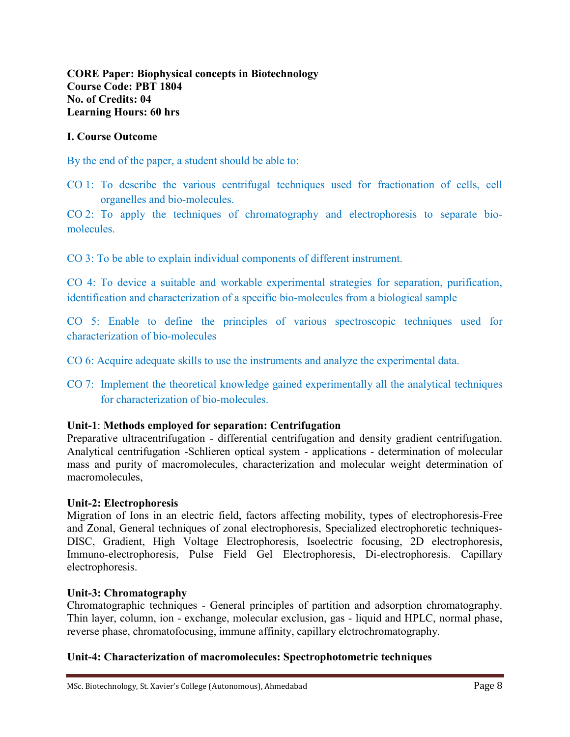**CORE Paper: Biophysical concepts in Biotechnology Course Code: PBT 1804 No. of Credits: 04 Learning Hours: 60 hrs**

## **I. Course Outcome**

By the end of the paper, a student should be able to:

CO 1: To describe the various centrifugal techniques used for fractionation of cells, cell organelles and bio-molecules.

CO 2: To apply the techniques of chromatography and electrophoresis to separate biomolecules.

CO 3: To be able to explain individual components of different instrument.

CO 4: To device a suitable and workable experimental strategies for separation, purification, identification and characterization of a specific bio-molecules from a biological sample

CO 5: Enable to define the principles of various spectroscopic techniques used for characterization of bio-molecules

CO 6: Acquire adequate skills to use the instruments and analyze the experimental data.

CO 7: Implement the theoretical knowledge gained experimentally all the analytical techniques for characterization of bio-molecules.

#### **Unit-1**: **Methods employed for separation: Centrifugation**

Preparative ultracentrifugation - differential centrifugation and density gradient centrifugation. Analytical centrifugation -Schlieren optical system - applications - determination of molecular mass and purity of macromolecules, characterization and molecular weight determination of macromolecules,

#### **Unit-2: Electrophoresis**

Migration of Ions in an electric field, factors affecting mobility, types of electrophoresis-Free and Zonal, General techniques of zonal electrophoresis, Specialized electrophoretic techniques-DISC, Gradient, High Voltage Electrophoresis, Isoelectric focusing, 2D electrophoresis, Immuno-electrophoresis, Pulse Field Gel Electrophoresis, Di-electrophoresis. Capillary electrophoresis.

#### **Unit-3: Chromatography**

Chromatographic techniques - General principles of partition and adsorption chromatography. Thin layer, column, ion - exchange, molecular exclusion, gas - liquid and HPLC, normal phase, reverse phase, chromatofocusing, immune affinity, capillary elctrochromatography.

#### **Unit-4: Characterization of macromolecules: Spectrophotometric techniques**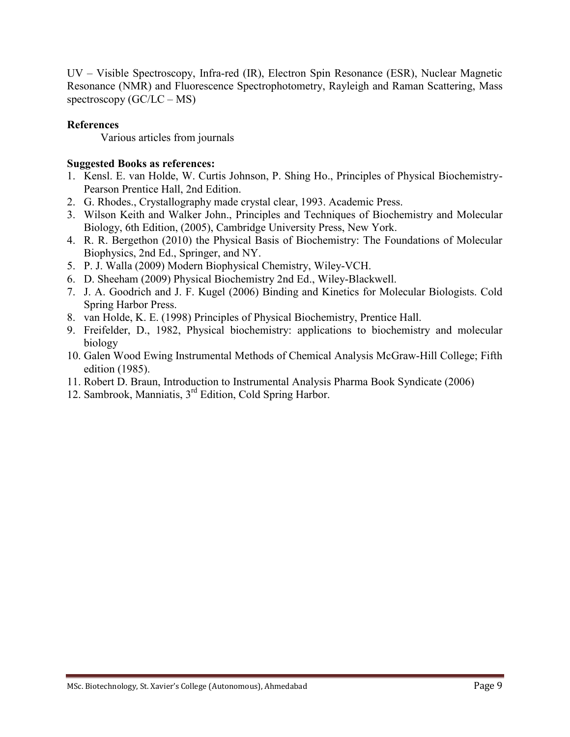UV – Visible Spectroscopy, Infra-red (IR), Electron Spin Resonance (ESR), Nuclear Magnetic Resonance (NMR) and Fluorescence Spectrophotometry, Rayleigh and Raman Scattering, Mass spectroscopy  $(GC/LC - MS)$ 

## **References**

Various articles from journals

- 1. Kensl. E. van Holde, W. Curtis Johnson, P. Shing Ho., Principles of Physical Biochemistry-Pearson Prentice Hall, 2nd Edition.
- 2. G. Rhodes., Crystallography made crystal clear, 1993. Academic Press.
- 3. Wilson Keith and Walker John., Principles and Techniques of Biochemistry and Molecular Biology, 6th Edition, (2005), Cambridge University Press, New York.
- 4. R. R. Bergethon (2010) the Physical Basis of Biochemistry: The Foundations of Molecular Biophysics, 2nd Ed., Springer, and NY.
- 5. P. J. Walla (2009) Modern Biophysical Chemistry, Wiley-VCH.
- 6. D. Sheeham (2009) Physical Biochemistry 2nd Ed., Wiley-Blackwell.
- 7. J. A. Goodrich and J. F. Kugel (2006) Binding and Kinetics for Molecular Biologists. Cold Spring Harbor Press.
- 8. van Holde, K. E. (1998) Principles of Physical Biochemistry, Prentice Hall.
- 9. Freifelder, D., 1982, Physical biochemistry: applications to biochemistry and molecular biology
- 10. Galen Wood Ewing Instrumental Methods of Chemical Analysis McGraw-Hill College; Fifth edition (1985).
- 11. Robert D. Braun, Introduction to Instrumental Analysis Pharma Book Syndicate (2006)
- 12. Sambrook, Manniatis, 3rd Edition, Cold Spring Harbor.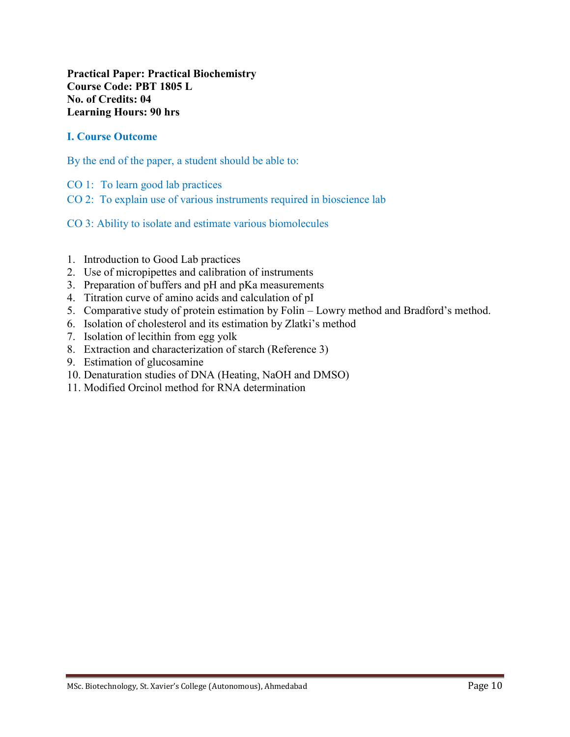**Practical Paper: Practical Biochemistry Course Code: PBT 1805 L No. of Credits: 04 Learning Hours: 90 hrs**

#### **I. Course Outcome**

By the end of the paper, a student should be able to:

- CO 1: To learn good lab practices
- CO 2: To explain use of various instruments required in bioscience lab

CO 3: Ability to isolate and estimate various biomolecules

- 1. Introduction to Good Lab practices
- 2. Use of micropipettes and calibration of instruments
- 3. Preparation of buffers and pH and pKa measurements
- 4. Titration curve of amino acids and calculation of pI
- 5. Comparative study of protein estimation by Folin Lowry method and Bradford's method.
- 6. Isolation of cholesterol and its estimation by Zlatki's method
- 7. Isolation of lecithin from egg yolk
- 8. Extraction and characterization of starch (Reference 3)
- 9. Estimation of glucosamine
- 10. Denaturation studies of DNA (Heating, NaOH and DMSO)
- 11. Modified Orcinol method for RNA determination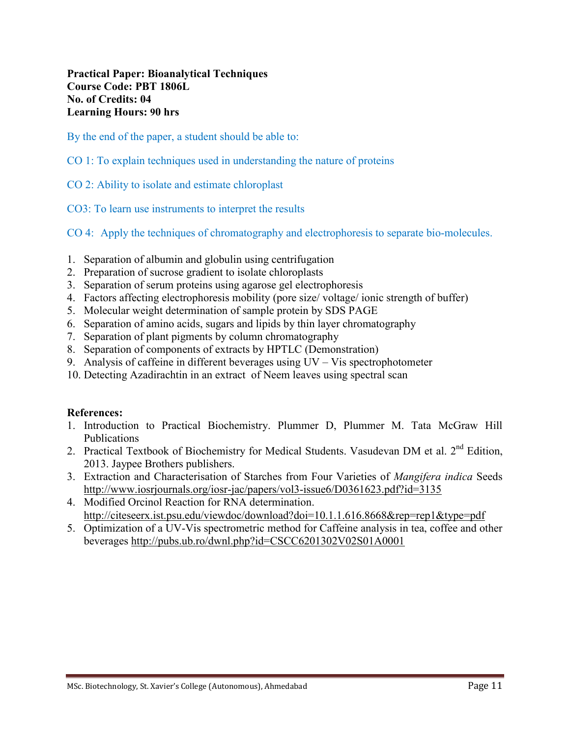## **Practical Paper: Bioanalytical Techniques Course Code: PBT 1806L No. of Credits: 04 Learning Hours: 90 hrs**

By the end of the paper, a student should be able to:

- CO 1: To explain techniques used in understanding the nature of proteins
- CO 2: Ability to isolate and estimate chloroplast
- CO3: To learn use instruments to interpret the results

CO 4: Apply the techniques of chromatography and electrophoresis to separate bio-molecules.

- 1. Separation of albumin and globulin using centrifugation
- 2. Preparation of sucrose gradient to isolate chloroplasts
- 3. Separation of serum proteins using agarose gel electrophoresis
- 4. Factors affecting electrophoresis mobility (pore size/ voltage/ ionic strength of buffer)
- 5. Molecular weight determination of sample protein by SDS PAGE
- 6. Separation of amino acids, sugars and lipids by thin layer chromatography
- 7. Separation of plant pigments by column chromatography
- 8. Separation of components of extracts by HPTLC (Demonstration)
- 9. Analysis of caffeine in different beverages using UV Vis spectrophotometer
- 10. Detecting Azadirachtin in an extract of Neem leaves using spectral scan

#### **References:**

- 1. Introduction to Practical Biochemistry. Plummer D, Plummer M. Tata McGraw Hill Publications
- 2. Practical Textbook of Biochemistry for Medical Students. Vasudevan DM et al. 2<sup>nd</sup> Edition, 2013. Jaypee Brothers publishers.
- 3. Extraction and Characterisation of Starches from Four Varieties of *Mangifera indica* Seeds <http://www.iosrjournals.org/iosr-jac/papers/vol3-issue6/D0361623.pdf?id=3135>
- 4. Modified Orcinol Reaction for RNA determination. <http://citeseerx.ist.psu.edu/viewdoc/download?doi=10.1.1.616.8668&rep=rep1&type=pdf>
- 5. Optimization of a UV-Vis spectrometric method for Caffeine analysis in tea, coffee and other beverages<http://pubs.ub.ro/dwnl.php?id=CSCC6201302V02S01A0001>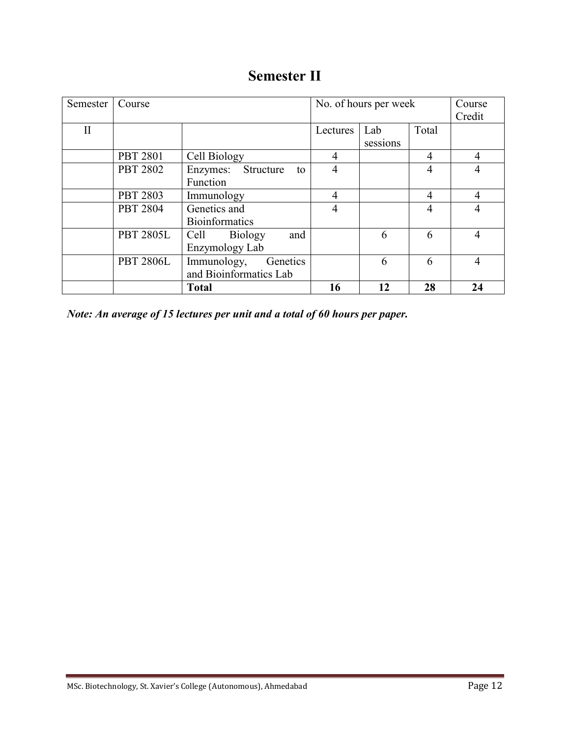| <b>Semester II</b> |  |
|--------------------|--|
|--------------------|--|

| Semester     | Course           |                               | No. of hours per week |          |                | Course         |
|--------------|------------------|-------------------------------|-----------------------|----------|----------------|----------------|
|              |                  |                               |                       |          | Credit         |                |
| $\mathbf{I}$ |                  |                               | Lectures              | Lab      | Total          |                |
|              |                  |                               |                       | sessions |                |                |
|              | <b>PBT 2801</b>  | Cell Biology                  | $\overline{4}$        |          | 4              | $\overline{4}$ |
|              | <b>PBT 2802</b>  | Enzymes:<br>Structure<br>to   | $\overline{4}$        |          | $\overline{4}$ | $\overline{4}$ |
|              |                  | Function                      |                       |          |                |                |
|              | <b>PBT 2803</b>  | Immunology                    | 4                     |          | 4              | $\overline{4}$ |
|              | <b>PBT 2804</b>  | Genetics and                  | $\overline{4}$        |          | 4              | $\overline{4}$ |
|              |                  | <b>Bioinformatics</b>         |                       |          |                |                |
|              | <b>PBT 2805L</b> | Cell<br>and<br><b>Biology</b> |                       | 6        | 6              | $\overline{4}$ |
|              |                  | Enzymology Lab                |                       |          |                |                |
|              | <b>PBT 2806L</b> | Immunology,<br>Genetics       |                       | 6        | 6              | $\overline{4}$ |
|              |                  | and Bioinformatics Lab        |                       |          |                |                |
|              |                  | <b>Total</b>                  | 16                    | 12       | 28             | 24             |

*Note: An average of 15 lectures per unit and a total of 60 hours per paper.*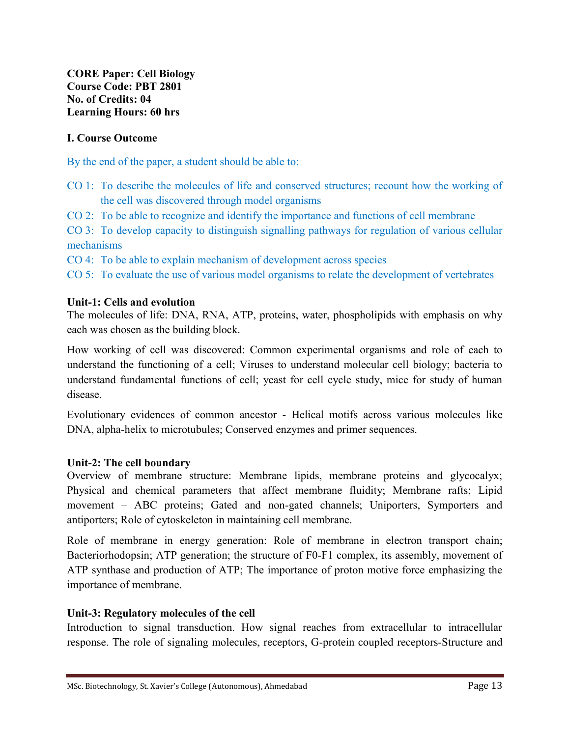**CORE Paper: Cell Biology Course Code: PBT 2801 No. of Credits: 04 Learning Hours: 60 hrs**

## **I. Course Outcome**

By the end of the paper, a student should be able to:

- CO 1: To describe the molecules of life and conserved structures; recount how the working of the cell was discovered through model organisms
- CO 2: To be able to recognize and identify the importance and functions of cell membrane

CO 3: To develop capacity to distinguish signalling pathways for regulation of various cellular mechanisms

CO 4: To be able to explain mechanism of development across species

CO 5: To evaluate the use of various model organisms to relate the development of vertebrates

## **Unit-1: Cells and evolution**

The molecules of life: DNA, RNA, ATP, proteins, water, phospholipids with emphasis on why each was chosen as the building block.

How working of cell was discovered: Common experimental organisms and role of each to understand the functioning of a cell; Viruses to understand molecular cell biology; bacteria to understand fundamental functions of cell; yeast for cell cycle study, mice for study of human disease.

Evolutionary evidences of common ancestor - Helical motifs across various molecules like DNA, alpha-helix to microtubules; Conserved enzymes and primer sequences.

#### **Unit-2: The cell boundary**

Overview of membrane structure: Membrane lipids, membrane proteins and glycocalyx; Physical and chemical parameters that affect membrane fluidity; Membrane rafts; Lipid movement – ABC proteins; Gated and non-gated channels; Uniporters, Symporters and antiporters; Role of cytoskeleton in maintaining cell membrane.

Role of membrane in energy generation: Role of membrane in electron transport chain; Bacteriorhodopsin; ATP generation; the structure of F0-F1 complex, its assembly, movement of ATP synthase and production of ATP; The importance of proton motive force emphasizing the importance of membrane.

## **Unit-3: Regulatory molecules of the cell**

Introduction to signal transduction. How signal reaches from extracellular to intracellular response. The role of signaling molecules, receptors, G-protein coupled receptors-Structure and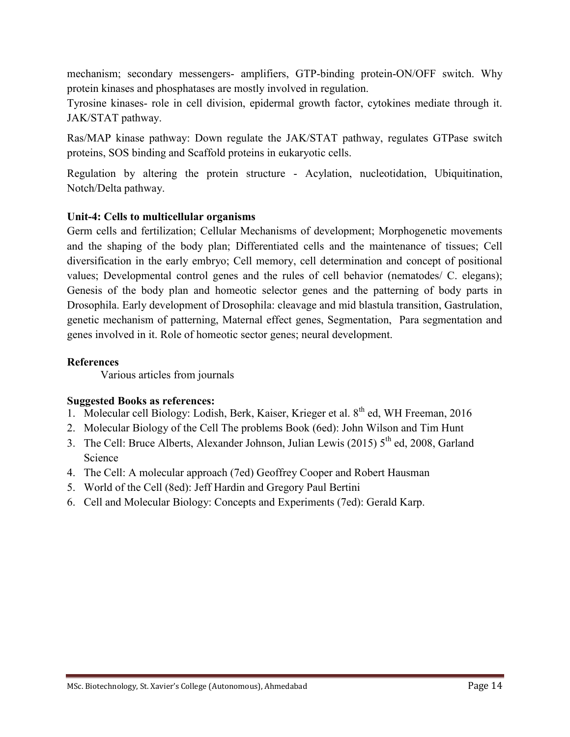mechanism; secondary messengers- amplifiers, GTP-binding protein-ON/OFF switch. Why protein kinases and phosphatases are mostly involved in regulation.

Tyrosine kinases- role in cell division, epidermal growth factor, cytokines mediate through it. JAK/STAT pathway.

Ras/MAP kinase pathway: Down regulate the JAK/STAT pathway, regulates GTPase switch proteins, SOS binding and Scaffold proteins in eukaryotic cells.

Regulation by altering the protein structure - Acylation, nucleotidation, Ubiquitination, Notch/Delta pathway.

## **Unit-4: Cells to multicellular organisms**

Germ cells and fertilization; Cellular Mechanisms of development; Morphogenetic movements and the shaping of the body plan; Differentiated cells and the maintenance of tissues; Cell diversification in the early embryo; Cell memory, cell determination and concept of positional values; Developmental control genes and the rules of cell behavior (nematodes/ C. elegans); Genesis of the body plan and homeotic selector genes and the patterning of body parts in Drosophila. Early development of Drosophila: cleavage and mid blastula transition, Gastrulation, genetic mechanism of patterning, Maternal effect genes, Segmentation, Para segmentation and genes involved in it. Role of homeotic sector genes; neural development.

## **References**

Various articles from journals

- 1. Molecular cell Biology: Lodish, Berk, Kaiser, Krieger et al. 8<sup>th</sup> ed, WH Freeman, 2016
- 2. Molecular Biology of the Cell The problems Book (6ed): John Wilson and Tim Hunt
- 3. The Cell: Bruce Alberts, Alexander Johnson, Julian Lewis (2015)  $5<sup>th</sup>$  ed, 2008, Garland Science
- 4. The Cell: A molecular approach (7ed) Geoffrey Cooper and Robert Hausman
- 5. World of the Cell (8ed): Jeff Hardin and Gregory Paul Bertini
- 6. Cell and Molecular Biology: Concepts and Experiments (7ed): Gerald Karp.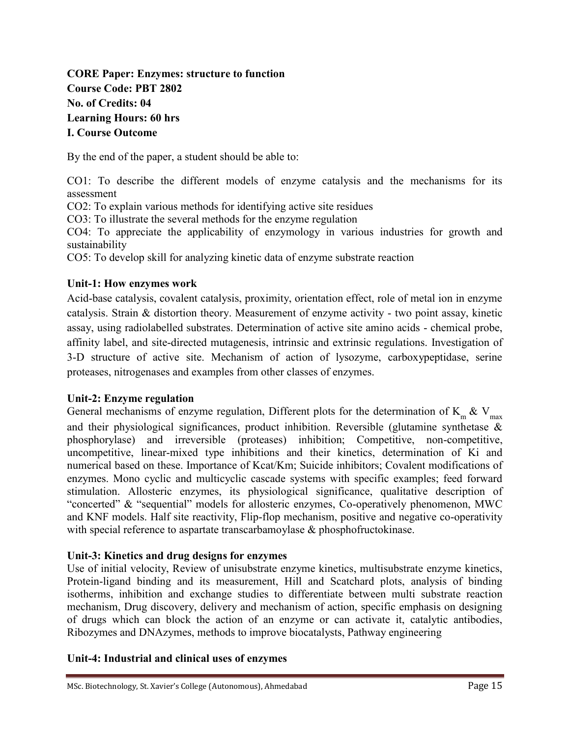## **CORE Paper: Enzymes: structure to function Course Code: PBT 2802 No. of Credits: 04 Learning Hours: 60 hrs I. Course Outcome**

By the end of the paper, a student should be able to:

CO1: To describe the different models of enzyme catalysis and the mechanisms for its assessment

CO2: To explain various methods for identifying active site residues

CO3: To illustrate the several methods for the enzyme regulation

CO4: To appreciate the applicability of enzymology in various industries for growth and sustainability

CO5: To develop skill for analyzing kinetic data of enzyme substrate reaction

## **Unit-1: How enzymes work**

Acid-base catalysis, covalent catalysis, proximity, orientation effect, role of metal ion in enzyme catalysis. Strain & distortion theory. Measurement of enzyme activity - two point assay, kinetic assay, using radiolabelled substrates. Determination of active site amino acids - chemical probe, affinity label, and site-directed mutagenesis, intrinsic and extrinsic regulations. Investigation of 3-D structure of active site. Mechanism of action of lysozyme, carboxypeptidase, serine proteases, nitrogenases and examples from other classes of enzymes.

#### **Unit-2: Enzyme regulation**

General mechanisms of enzyme regulation, Different plots for the determination of  $K_m \& V_{max}$ and their physiological significances, product inhibition. Reversible (glutamine synthetase  $\&$ phosphorylase) and irreversible (proteases) inhibition; Competitive, non-competitive, uncompetitive, linear-mixed type inhibitions and their kinetics, determination of Ki and numerical based on these. Importance of Kcat/Km; Suicide inhibitors; Covalent modifications of enzymes. Mono cyclic and multicyclic cascade systems with specific examples; feed forward stimulation. Allosteric enzymes, its physiological significance, qualitative description of "concerted" & "sequential" models for allosteric enzymes, Co-operatively phenomenon, MWC and KNF models. Half site reactivity, Flip-flop mechanism, positive and negative co-operativity with special reference to aspartate transcarbamoylase & phosphofructokinase.

#### **Unit-3: Kinetics and drug designs for enzymes**

Use of initial velocity, Review of unisubstrate enzyme kinetics, multisubstrate enzyme kinetics, Protein-ligand binding and its measurement, Hill and Scatchard plots, analysis of binding isotherms, inhibition and exchange studies to differentiate between multi substrate reaction mechanism, Drug discovery, delivery and mechanism of action, specific emphasis on designing of drugs which can block the action of an enzyme or can activate it, catalytic antibodies, Ribozymes and DNAzymes, methods to improve biocatalysts, Pathway engineering

#### **Unit-4: Industrial and clinical uses of enzymes**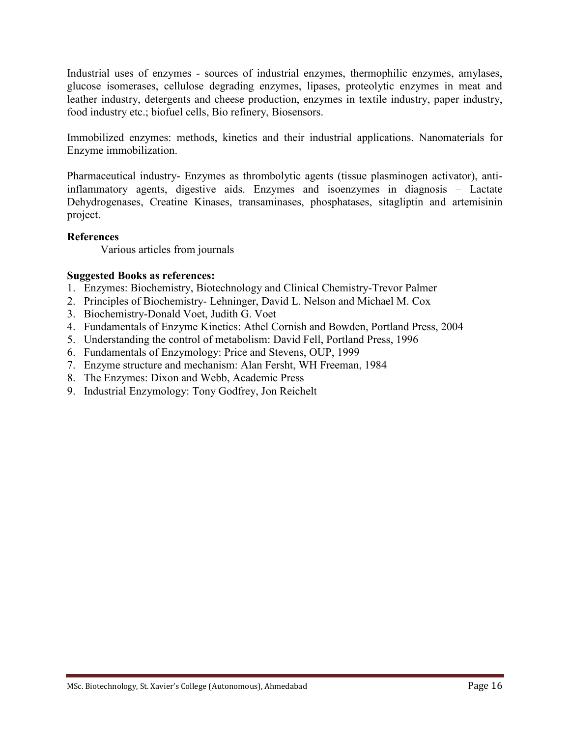Industrial uses of enzymes - sources of industrial enzymes, thermophilic enzymes, amylases, glucose isomerases, cellulose degrading enzymes, lipases, proteolytic enzymes in meat and leather industry, detergents and cheese production, enzymes in textile industry, paper industry, food industry etc.; biofuel cells, Bio refinery, Biosensors.

Immobilized enzymes: methods, kinetics and their industrial applications. Nanomaterials for Enzyme immobilization.

Pharmaceutical industry- Enzymes as thrombolytic agents (tissue plasminogen activator), antiinflammatory agents, digestive aids. Enzymes and isoenzymes in diagnosis – Lactate Dehydrogenases, Creatine Kinases, transaminases, phosphatases, sitagliptin and artemisinin project.

## **References**

Various articles from journals

- 1. Enzymes: Biochemistry, Biotechnology and Clinical Chemistry-Trevor Palmer
- 2. Principles of Biochemistry- Lehninger, David L. Nelson and Michael M. Cox
- 3. Biochemistry-Donald Voet, Judith G. Voet
- 4. Fundamentals of Enzyme Kinetics: Athel Cornish and Bowden, Portland Press, 2004
- 5. Understanding the control of metabolism: David Fell, Portland Press, 1996
- 6. Fundamentals of Enzymology: Price and Stevens, OUP, 1999
- 7. Enzyme structure and mechanism: Alan Fersht, WH Freeman, 1984
- 8. The Enzymes: Dixon and Webb, Academic Press
- 9. Industrial Enzymology: Tony Godfrey, Jon Reichelt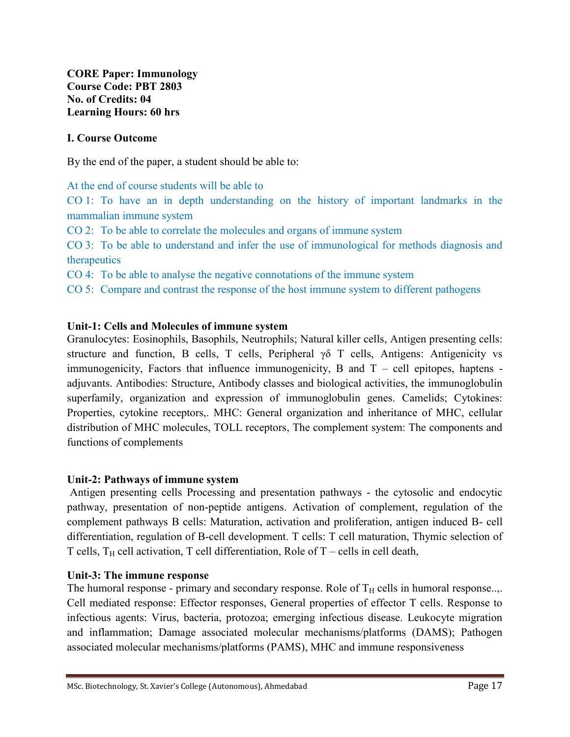**CORE Paper: Immunology Course Code: PBT 2803 No. of Credits: 04 Learning Hours: 60 hrs**

## **I. Course Outcome**

By the end of the paper, a student should be able to:

At the end of course students will be able to

CO 1: To have an in depth understanding on the history of important landmarks in the mammalian immune system

CO 2: To be able to correlate the molecules and organs of immune system

CO 3: To be able to understand and infer the use of immunological for methods diagnosis and therapeutics

CO 4: To be able to analyse the negative connotations of the immune system

CO 5: Compare and contrast the response of the host immune system to different pathogens

## **Unit-1: Cells and Molecules of immune system**

Granulocytes: Eosinophils, Basophils, Neutrophils; Natural killer cells, Antigen presenting cells: structure and function, B cells, T cells, Peripheral  $\gamma \delta$  T cells, Antigens: Antigenicity vs immunogenicity, Factors that influence immunogenicity, B and  $T -$  cell epitopes, haptens adjuvants. Antibodies: Structure, Antibody classes and biological activities, the immunoglobulin superfamily, organization and expression of immunoglobulin genes. Camelids; Cytokines: Properties, cytokine receptors,. MHC: General organization and inheritance of MHC, cellular distribution of MHC molecules, TOLL receptors, The complement system: The components and functions of complements

#### **Unit-2: Pathways of immune system**

Antigen presenting cells Processing and presentation pathways - the cytosolic and endocytic pathway, presentation of non-peptide antigens. Activation of complement, regulation of the complement pathways B cells: Maturation, activation and proliferation, antigen induced B- cell differentiation, regulation of B-cell development. T cells: T cell maturation, Thymic selection of T cells,  $T_H$  cell activation, T cell differentiation, Role of T – cells in cell death,

#### **Unit-3: The immune response**

The humoral response - primary and secondary response. Role of  $T_H$  cells in humoral response... Cell mediated response: Effector responses, General properties of effector T cells. Response to infectious agents: Virus, bacteria, protozoa; emerging infectious disease. Leukocyte migration and inflammation; Damage associated molecular mechanisms/platforms (DAMS); Pathogen associated molecular mechanisms/platforms (PAMS), MHC and immune responsiveness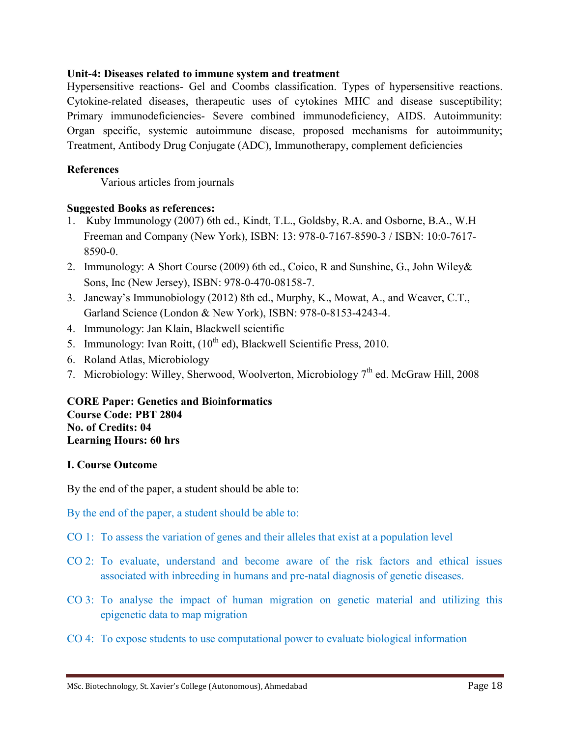## **Unit-4: Diseases related to immune system and treatment**

Hypersensitive reactions- Gel and Coombs classification. Types of hypersensitive reactions. Cytokine-related diseases, therapeutic uses of cytokines MHC and disease susceptibility; Primary immunodeficiencies- Severe combined immunodeficiency, AIDS. Autoimmunity: Organ specific, systemic autoimmune disease, proposed mechanisms for autoimmunity; Treatment, Antibody Drug Conjugate (ADC), Immunotherapy, complement deficiencies

## **References**

Various articles from journals

## **Suggested Books as references:**

- 1. Kuby Immunology (2007) 6th ed., Kindt, T.L., Goldsby, R.A. and Osborne, B.A., W.H Freeman and Company (New York), ISBN: 13: 978-0-7167-8590-3 / ISBN: 10:0-7617- 8590-0.
- 2. Immunology: A Short Course (2009) 6th ed., Coico, R and Sunshine, G., John Wiley& Sons, Inc (New Jersey), ISBN: 978-0-470-08158-7.
- 3. Janeway's Immunobiology (2012) 8th ed., Murphy, K., Mowat, A., and Weaver, C.T., Garland Science (London & New York), ISBN: 978-0-8153-4243-4.
- 4. Immunology: Jan Klain, Blackwell scientific
- 5. Immunology: Ivan Roitt,  $(10^{th}$  ed), Blackwell Scientific Press, 2010.
- 6. Roland Atlas, Microbiology
- 7. Microbiology: Willey, Sherwood, Woolverton, Microbiology  $7<sup>th</sup>$  ed. McGraw Hill, 2008

**CORE Paper: Genetics and Bioinformatics Course Code: PBT 2804 No. of Credits: 04 Learning Hours: 60 hrs**

#### **I. Course Outcome**

By the end of the paper, a student should be able to:

By the end of the paper, a student should be able to:

- CO 1: To assess the variation of genes and their alleles that exist at a population level
- CO 2: To evaluate, understand and become aware of the risk factors and ethical issues associated with inbreeding in humans and pre-natal diagnosis of genetic diseases.
- CO 3: To analyse the impact of human migration on genetic material and utilizing this epigenetic data to map migration
- CO 4: To expose students to use computational power to evaluate biological information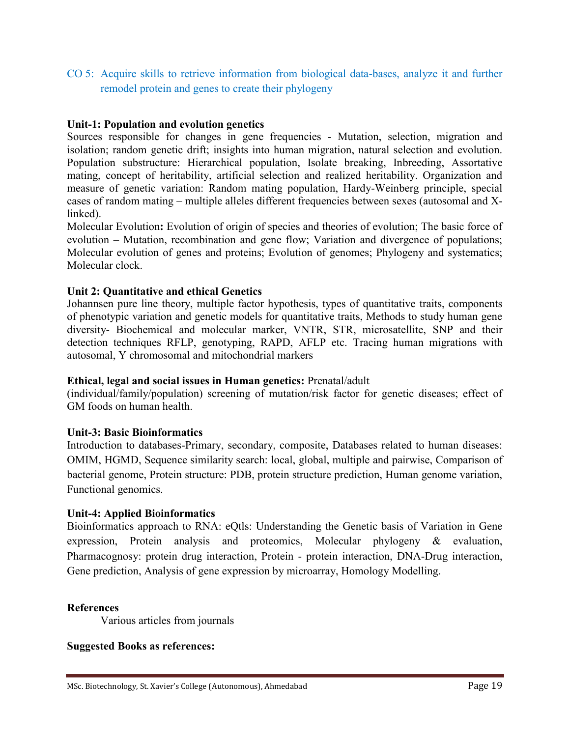CO 5: Acquire skills to retrieve information from biological data-bases, analyze it and further remodel protein and genes to create their phylogeny

## **Unit-1: Population and evolution genetics**

Sources responsible for changes in gene frequencies - Mutation, selection, migration and isolation; random genetic drift; insights into human migration, natural selection and evolution. Population substructure: Hierarchical population, Isolate breaking, Inbreeding, Assortative mating, concept of heritability, artificial selection and realized heritability. Organization and measure of genetic variation: Random mating population, Hardy-Weinberg principle, special cases of random mating – multiple alleles different frequencies between sexes (autosomal and Xlinked).

Molecular Evolution**:** Evolution of origin of species and theories of evolution; The basic force of evolution – Mutation, recombination and gene flow; Variation and divergence of populations; Molecular evolution of genes and proteins; Evolution of genomes; Phylogeny and systematics; Molecular clock.

#### **Unit 2: Quantitative and ethical Genetics**

Johannsen pure line theory, multiple factor hypothesis, types of quantitative traits, components of phenotypic variation and genetic models for quantitative traits, Methods to study human gene diversity- Biochemical and molecular marker, VNTR, STR, microsatellite, SNP and their detection techniques RFLP, genotyping, RAPD, AFLP etc. Tracing human migrations with autosomal, Y chromosomal and mitochondrial markers

#### **Ethical, legal and social issues in Human genetics:** Prenatal/adult

(individual/family/population) screening of mutation/risk factor for genetic diseases; effect of GM foods on human health.

#### **Unit-3: Basic Bioinformatics**

Introduction to databases-Primary, secondary, composite, Databases related to human diseases: OMIM, HGMD, Sequence similarity search: local, global, multiple and pairwise, Comparison of bacterial genome, Protein structure: PDB, protein structure prediction, Human genome variation, Functional genomics.

#### **Unit-4: Applied Bioinformatics**

Bioinformatics approach to RNA: eQtls: Understanding the Genetic basis of Variation in Gene expression, Protein analysis and proteomics, Molecular phylogeny & evaluation, Pharmacognosy: protein drug interaction, Protein - protein interaction, DNA-Drug interaction, Gene prediction, Analysis of gene expression by microarray, Homology Modelling.

#### **References**

Various articles from journals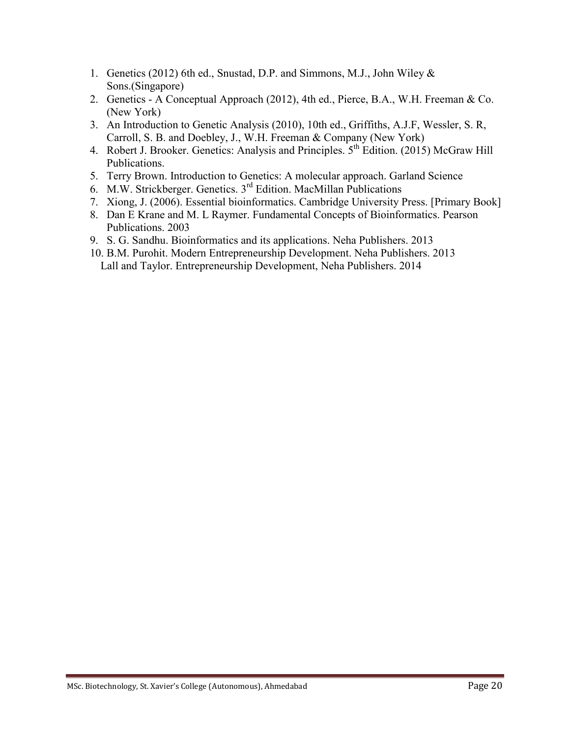- 1. Genetics (2012) 6th ed., Snustad, D.P. and Simmons, M.J., John Wiley & Sons.(Singapore)
- 2. Genetics A Conceptual Approach (2012), 4th ed., Pierce, B.A., W.H. Freeman & Co. (New York)
- 3. An Introduction to Genetic Analysis (2010), 10th ed., Griffiths, A.J.F, Wessler, S. R, Carroll, S. B. and Doebley, J., W.H. Freeman & Company (New York)
- 4. Robert J. Brooker. Genetics: Analysis and Principles.  $5^{th}$  Edition. (2015) McGraw Hill Publications.
- 5. Terry Brown. Introduction to Genetics: A molecular approach. Garland Science
- 6. M.W. Strickberger. Genetics.  $3<sup>rd</sup>$  Edition. MacMillan Publications
- 7. Xiong, J. (2006). Essential bioinformatics. Cambridge University Press. [Primary Book]
- 8. Dan E Krane and M. L Raymer. Fundamental Concepts of Bioinformatics. Pearson Publications. 2003
- 9. S. G. Sandhu. Bioinformatics and its applications. Neha Publishers. 2013
- 10. B.M. Purohit. Modern Entrepreneurship Development. Neha Publishers. 2013 Lall and Taylor. Entrepreneurship Development, Neha Publishers. 2014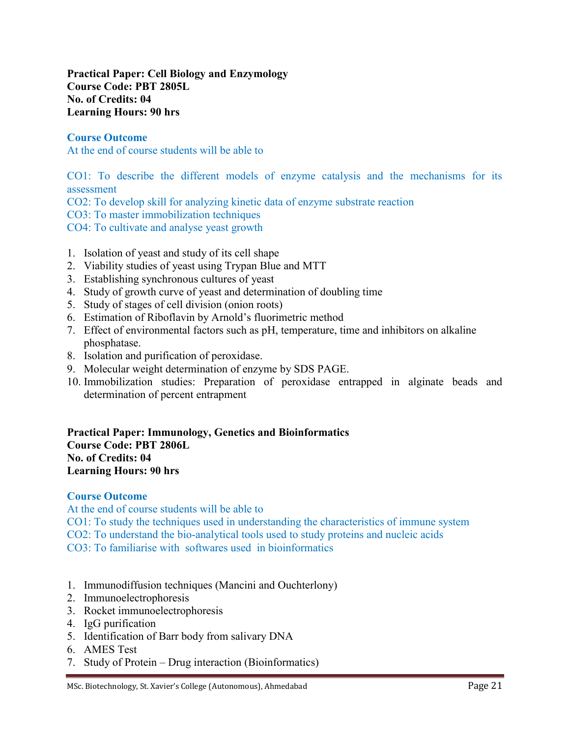**Practical Paper: Cell Biology and Enzymology Course Code: PBT 2805L No. of Credits: 04 Learning Hours: 90 hrs**

#### **Course Outcome**

At the end of course students will be able to

CO1: To describe the different models of enzyme catalysis and the mechanisms for its assessment

CO2: To develop skill for analyzing kinetic data of enzyme substrate reaction

CO3: To master immobilization techniques

- CO4: To cultivate and analyse yeast growth
- 1. Isolation of yeast and study of its cell shape
- 2. Viability studies of yeast using Trypan Blue and MTT
- 3. Establishing synchronous cultures of yeast
- 4. Study of growth curve of yeast and determination of doubling time
- 5. Study of stages of cell division (onion roots)
- 6. Estimation of Riboflavin by Arnold's fluorimetric method
- 7. Effect of environmental factors such as pH, temperature, time and inhibitors on alkaline phosphatase.
- 8. Isolation and purification of peroxidase.
- 9. Molecular weight determination of enzyme by SDS PAGE.
- 10. Immobilization studies: Preparation of peroxidase entrapped in alginate beads and determination of percent entrapment

**Practical Paper: Immunology, Genetics and Bioinformatics Course Code: PBT 2806L No. of Credits: 04 Learning Hours: 90 hrs**

#### **Course Outcome**

At the end of course students will be able to CO1: To study the techniques used in understanding the characteristics of immune system CO2: To understand the bio-analytical tools used to study proteins and nucleic acids CO3: To familiarise with softwares used in bioinformatics

- 1. Immunodiffusion techniques (Mancini and Ouchterlony)
- 2. Immunoelectrophoresis
- 3. Rocket immunoelectrophoresis
- 4. IgG purification
- 5. Identification of Barr body from salivary DNA
- 6. AMES Test
- 7. Study of Protein Drug interaction (Bioinformatics)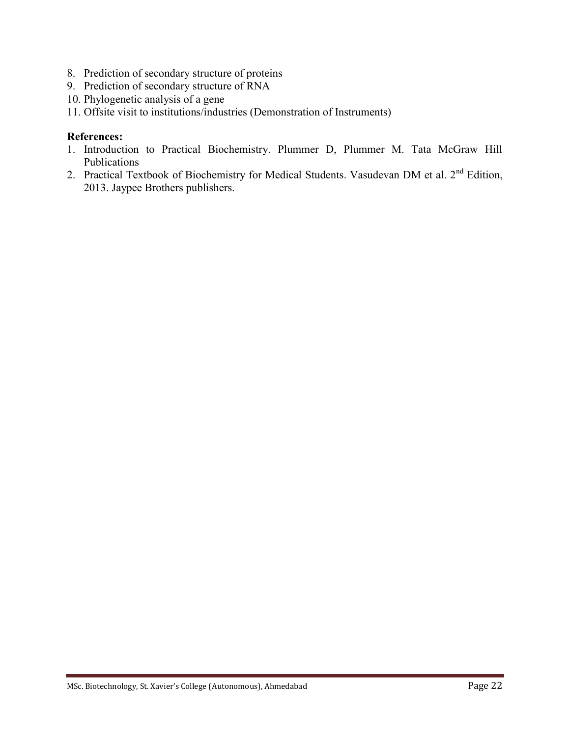- 8. Prediction of secondary structure of proteins
- 9. Prediction of secondary structure of RNA
- 10. Phylogenetic analysis of a gene
- 11. Offsite visit to institutions/industries (Demonstration of Instruments)

#### **References:**

- 1. Introduction to Practical Biochemistry. Plummer D, Plummer M. Tata McGraw Hill Publications
- 2. Practical Textbook of Biochemistry for Medical Students. Vasudevan DM et al.  $2<sup>nd</sup>$  Edition, 2013. Jaypee Brothers publishers.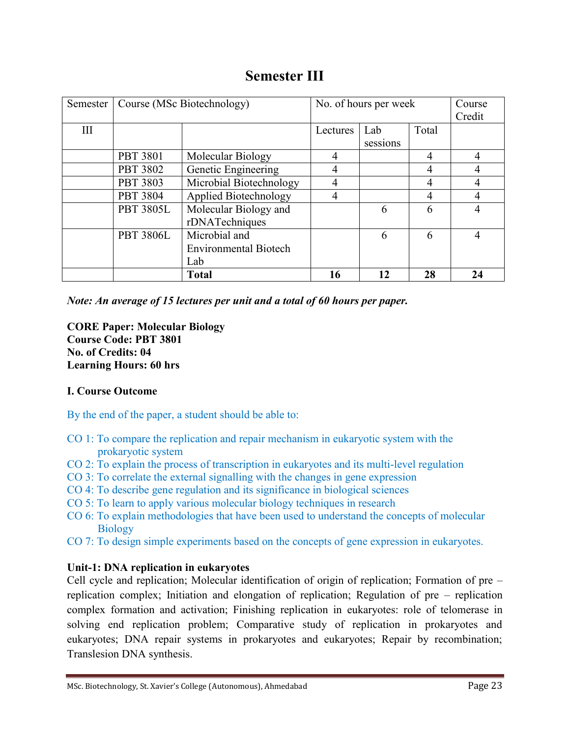## **Semester III**

| Semester | Course (MSc Biotechnology) |                              | No. of hours per week |          |       | Course         |
|----------|----------------------------|------------------------------|-----------------------|----------|-------|----------------|
|          |                            |                              |                       |          |       | Credit         |
| III      |                            |                              | Lectures              | Lab      | Total |                |
|          |                            |                              |                       | sessions |       |                |
|          | <b>PBT 3801</b>            | Molecular Biology            | 4                     |          | 4     | 4              |
|          | <b>PBT 3802</b>            | Genetic Engineering          | 4                     |          | 4     | 4              |
|          | <b>PBT 3803</b>            | Microbial Biotechnology      | 4                     |          | 4     | 4              |
|          | <b>PBT 3804</b>            | Applied Biotechnology        | $\overline{4}$        |          | 4     | 4              |
|          | <b>PBT 3805L</b>           | Molecular Biology and        |                       | 6        | 6     |                |
|          |                            | rDNATechniques               |                       |          |       |                |
|          | <b>PBT 3806L</b>           | Microbial and                |                       | 6        | 6     | $\overline{4}$ |
|          |                            | <b>Environmental Biotech</b> |                       |          |       |                |
|          |                            | Lab                          |                       |          |       |                |
|          |                            | <b>Total</b>                 | 16                    | 12       | 28    | 24             |

*Note: An average of 15 lectures per unit and a total of 60 hours per paper.*

**CORE Paper: Molecular Biology Course Code: PBT 3801 No. of Credits: 04 Learning Hours: 60 hrs**

## **I. Course Outcome**

By the end of the paper, a student should be able to:

- CO 1: To compare the replication and repair mechanism in eukaryotic system with the prokaryotic system
- CO 2: To explain the process of transcription in eukaryotes and its multi-level regulation
- CO 3: To correlate the external signalling with the changes in gene expression
- CO 4: To describe gene regulation and its significance in biological sciences
- CO 5: To learn to apply various molecular biology techniques in research
- CO 6: To explain methodologies that have been used to understand the concepts of molecular **Biology**
- CO 7: To design simple experiments based on the concepts of gene expression in eukaryotes.

## **Unit-1: DNA replication in eukaryotes**

Cell cycle and replication; Molecular identification of origin of replication; Formation of pre – replication complex; Initiation and elongation of replication; Regulation of pre – replication complex formation and activation; Finishing replication in eukaryotes: role of telomerase in solving end replication problem; Comparative study of replication in prokaryotes and eukaryotes; DNA repair systems in prokaryotes and eukaryotes; Repair by recombination; Translesion DNA synthesis.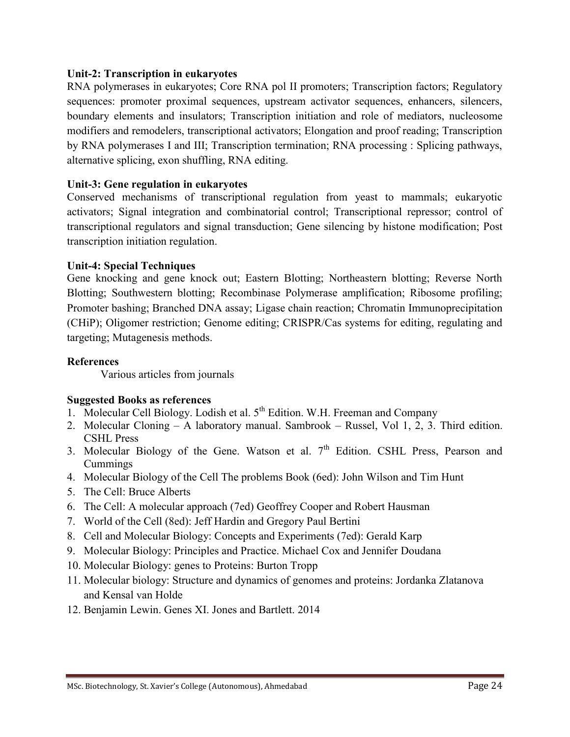## **Unit-2: Transcription in eukaryotes**

RNA polymerases in eukaryotes; Core RNA pol II promoters; Transcription factors; Regulatory sequences: promoter proximal sequences, upstream activator sequences, enhancers, silencers, boundary elements and insulators; Transcription initiation and role of mediators, nucleosome modifiers and remodelers, transcriptional activators; Elongation and proof reading; Transcription by RNA polymerases I and III; Transcription termination; RNA processing : Splicing pathways, alternative splicing, exon shuffling, RNA editing.

## **Unit-3: Gene regulation in eukaryotes**

Conserved mechanisms of transcriptional regulation from yeast to mammals; eukaryotic activators; Signal integration and combinatorial control; Transcriptional repressor; control of transcriptional regulators and signal transduction; Gene silencing by histone modification; Post transcription initiation regulation.

## **Unit-4: Special Techniques**

Gene knocking and gene knock out; Eastern Blotting; Northeastern blotting; Reverse North Blotting; Southwestern blotting; Recombinase Polymerase amplification; Ribosome profiling; Promoter bashing; Branched DNA assay; Ligase chain reaction; Chromatin Immunoprecipitation (CHiP); Oligomer restriction; Genome editing; CRISPR/Cas systems for editing, regulating and targeting; Mutagenesis methods.

## **References**

Various articles from journals

- 1. Molecular Cell Biology. Lodish et al. 5<sup>th</sup> Edition. W.H. Freeman and Company
- 2. Molecular Cloning A laboratory manual. Sambrook Russel, Vol 1, 2, 3. Third edition. CSHL Press
- 3. Molecular Biology of the Gene. Watson et al.  $7<sup>th</sup>$  Edition. CSHL Press, Pearson and Cummings
- 4. Molecular Biology of the Cell The problems Book (6ed): John Wilson and Tim Hunt
- 5. The Cell: Bruce Alberts
- 6. The Cell: A molecular approach (7ed) Geoffrey Cooper and Robert Hausman
- 7. World of the Cell (8ed): Jeff Hardin and Gregory Paul Bertini
- 8. Cell and Molecular Biology: Concepts and Experiments (7ed): Gerald Karp
- 9. Molecular Biology: Principles and Practice. Michael Cox and Jennifer Doudana
- 10. Molecular Biology: genes to Proteins: Burton Tropp
- 11. Molecular biology: Structure and dynamics of genomes and proteins: Jordanka Zlatanova and Kensal van Holde
- 12. Benjamin Lewin. Genes XI. Jones and Bartlett. 2014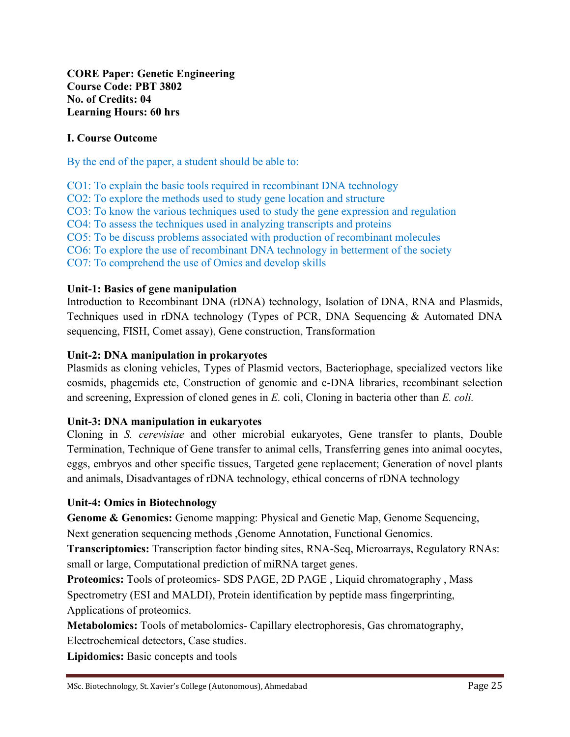**CORE Paper: Genetic Engineering Course Code: PBT 3802 No. of Credits: 04 Learning Hours: 60 hrs**

## **I. Course Outcome**

By the end of the paper, a student should be able to:

CO1: To explain the basic tools required in recombinant DNA technology

CO2: To explore the methods used to study gene location and structure

CO3: To know the various techniques used to study the gene expression and regulation

CO4: To assess the techniques used in analyzing transcripts and proteins

CO5: To be discuss problems associated with production of recombinant molecules

CO6: To explore the use of recombinant DNA technology in betterment of the society

CO7: To comprehend the use of Omics and develop skills

## **Unit-1: Basics of gene manipulation**

Introduction to Recombinant DNA (rDNA) technology, Isolation of DNA, RNA and Plasmids, Techniques used in rDNA technology (Types of PCR, DNA Sequencing & Automated DNA sequencing, FISH, Comet assay), Gene construction, Transformation

## **Unit-2: DNA manipulation in prokaryotes**

Plasmids as cloning vehicles, Types of Plasmid vectors, Bacteriophage, specialized vectors like cosmids, phagemids etc, Construction of genomic and c-DNA libraries, recombinant selection and screening, Expression of cloned genes in *E.* coli, Cloning in bacteria other than *E. coli.*

## **Unit-3: DNA manipulation in eukaryotes**

Cloning in *S. cerevisiae* and other microbial eukaryotes, Gene transfer to plants, Double Termination, Technique of Gene transfer to animal cells, Transferring genes into animal oocytes, eggs, embryos and other specific tissues, Targeted gene replacement; Generation of novel plants and animals, Disadvantages of rDNA technology, ethical concerns of rDNA technology

## **Unit-4: Omics in Biotechnology**

**Genome & Genomics:** Genome mapping: Physical and Genetic Map, Genome Sequencing,

Next generation sequencing methods ,Genome Annotation, Functional Genomics.

**Transcriptomics:** Transcription factor binding sites, RNA-Seq, Microarrays, Regulatory RNAs: small or large, Computational prediction of miRNA target genes.

**Proteomics:** Tools of proteomics- SDS PAGE, 2D PAGE , Liquid chromatography , Mass Spectrometry (ESI and MALDI), Protein identification by peptide mass fingerprinting, Applications of proteomics.

**Metabolomics:** Tools of metabolomics- Capillary electrophoresis, Gas chromatography, Electrochemical detectors, Case studies.

**Lipidomics:** Basic concepts and tools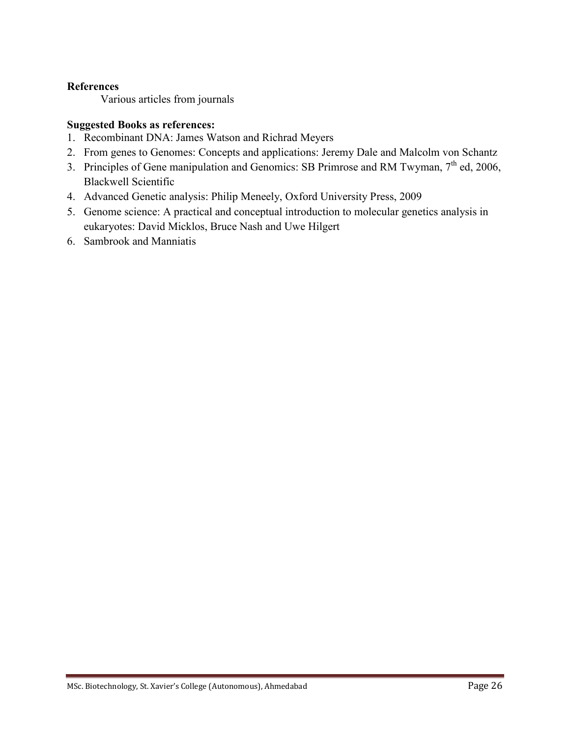## **References**

Various articles from journals

- 1. Recombinant DNA: James Watson and Richrad Meyers
- 2. From genes to Genomes: Concepts and applications: Jeremy Dale and Malcolm von Schantz
- 3. Principles of Gene manipulation and Genomics: SB Primrose and RM Twyman,  $7<sup>th</sup>$  ed, 2006, Blackwell Scientific
- 4. Advanced Genetic analysis: Philip Meneely, Oxford University Press, 2009
- 5. Genome science: A practical and conceptual introduction to molecular genetics analysis in eukaryotes: David Micklos, Bruce Nash and Uwe Hilgert
- 6. Sambrook and Manniatis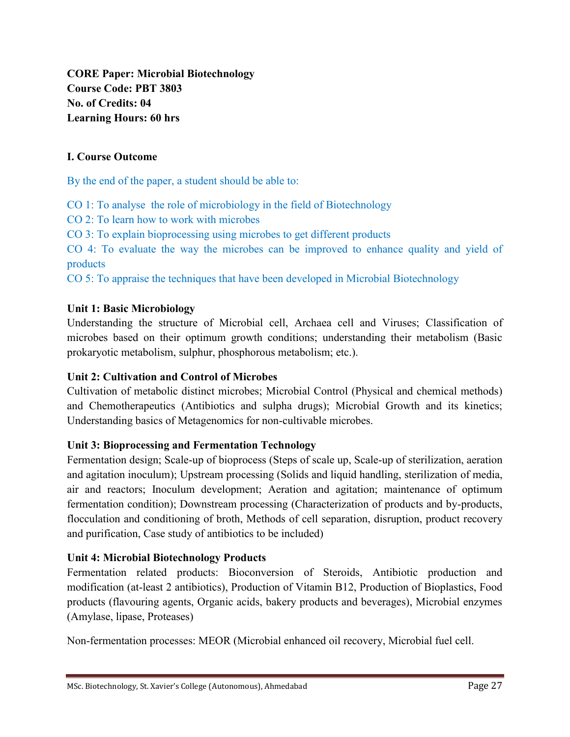**CORE Paper: Microbial Biotechnology Course Code: PBT 3803 No. of Credits: 04 Learning Hours: 60 hrs**

## **I. Course Outcome**

By the end of the paper, a student should be able to:

CO 1: To analyse the role of microbiology in the field of Biotechnology

CO 2: To learn how to work with microbes

CO 3: To explain bioprocessing using microbes to get different products

CO 4: To evaluate the way the microbes can be improved to enhance quality and yield of products

CO 5: To appraise the techniques that have been developed in Microbial Biotechnology

## **Unit 1: Basic Microbiology**

Understanding the structure of Microbial cell, Archaea cell and Viruses; Classification of microbes based on their optimum growth conditions; understanding their metabolism (Basic prokaryotic metabolism, sulphur, phosphorous metabolism; etc.).

## **Unit 2: Cultivation and Control of Microbes**

Cultivation of metabolic distinct microbes; Microbial Control (Physical and chemical methods) and Chemotherapeutics (Antibiotics and sulpha drugs); Microbial Growth and its kinetics; Understanding basics of Metagenomics for non-cultivable microbes.

## **Unit 3: Bioprocessing and Fermentation Technology**

Fermentation design; Scale-up of bioprocess (Steps of scale up, Scale-up of sterilization, aeration and agitation inoculum); Upstream processing (Solids and liquid handling, sterilization of media, air and reactors; Inoculum development; Aeration and agitation; maintenance of optimum fermentation condition); Downstream processing (Characterization of products and by-products, flocculation and conditioning of broth, Methods of cell separation, disruption, product recovery and purification, Case study of antibiotics to be included)

## **Unit 4: Microbial Biotechnology Products**

Fermentation related products: Bioconversion of Steroids, Antibiotic production and modification (at-least 2 antibiotics), Production of Vitamin B12, Production of Bioplastics, Food products (flavouring agents, Organic acids, bakery products and beverages), Microbial enzymes (Amylase, lipase, Proteases)

Non-fermentation processes: MEOR (Microbial enhanced oil recovery, Microbial fuel cell.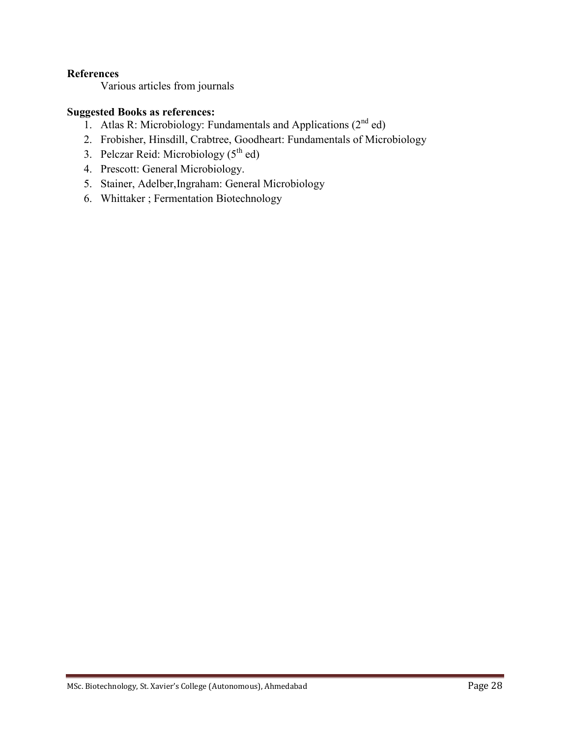## **References**

Various articles from journals

- 1. Atlas R: Microbiology: Fundamentals and Applications  $(2<sup>nd</sup> ed)$
- 2. Frobisher, Hinsdill, Crabtree, Goodheart: Fundamentals of Microbiology
- 3. Pelczar Reid: Microbiology  $(5^{th}$  ed)
- 4. Prescott: General Microbiology.
- 5. Stainer, Adelber,Ingraham: General Microbiology
- 6. Whittaker ; Fermentation Biotechnology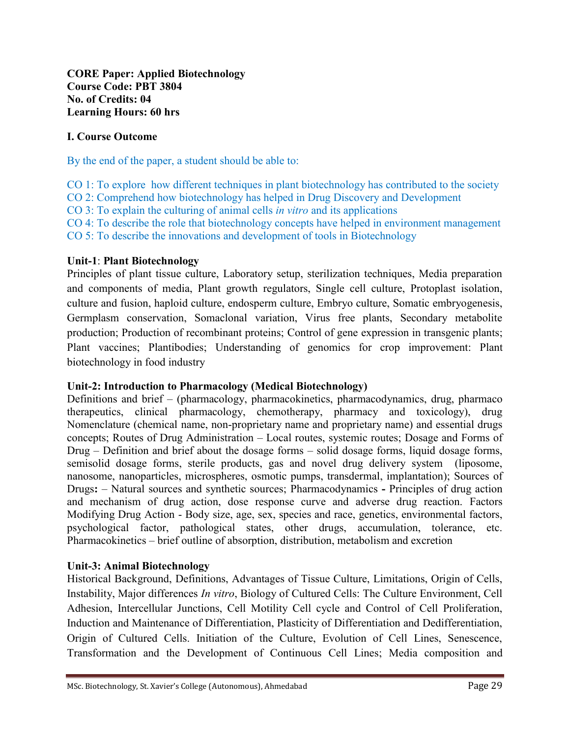**CORE Paper: Applied Biotechnology Course Code: PBT 3804 No. of Credits: 04 Learning Hours: 60 hrs**

## **I. Course Outcome**

By the end of the paper, a student should be able to:

- CO 1: To explore how different techniques in plant biotechnology has contributed to the society
- CO 2: Comprehend how biotechnology has helped in Drug Discovery and Development
- CO 3: To explain the culturing of animal cells *in vitro* and its applications
- CO 4: To describe the role that biotechnology concepts have helped in environment management CO 5: To describe the innovations and development of tools in Biotechnology

#### **Unit-1**: **Plant Biotechnology**

Principles of plant tissue culture, Laboratory setup, sterilization techniques, Media preparation and components of media, Plant growth regulators, Single cell culture, Protoplast isolation, culture and fusion, haploid culture, endosperm culture, Embryo culture, Somatic embryogenesis, Germplasm conservation, Somaclonal variation, Virus free plants, Secondary metabolite production; Production of recombinant proteins; Control of gene expression in transgenic plants; Plant vaccines; Plantibodies; Understanding of genomics for crop improvement: Plant biotechnology in food industry

#### **Unit-2: Introduction to Pharmacology (Medical Biotechnology)**

Definitions and brief – (pharmacology, pharmacokinetics, pharmacodynamics, drug, pharmaco therapeutics, clinical pharmacology, chemotherapy, pharmacy and toxicology), drug Nomenclature (chemical name, non-proprietary name and proprietary name) and essential drugs concepts; Routes of Drug Administration – Local routes, systemic routes; Dosage and Forms of Drug – Definition and brief about the dosage forms – solid dosage forms, liquid dosage forms, semisolid dosage forms, sterile products, gas and novel drug delivery system (liposome, nanosome, nanoparticles, microspheres, osmotic pumps, transdermal, implantation); Sources of Drugs**:** – Natural sources and synthetic sources; Pharmacodynamics **-** Principles of drug action and mechanism of drug action, dose response curve and adverse drug reaction. Factors Modifying Drug Action - Body size, age, sex, species and race, genetics, environmental factors, psychological factor, pathological states, other drugs, accumulation, tolerance, etc. Pharmacokinetics – brief outline of absorption, distribution, metabolism and excretion

## **Unit-3: Animal Biotechnology**

Historical Background, Definitions, Advantages of Tissue Culture, Limitations, Origin of Cells, Instability, Major differences *In vitro*, Biology of Cultured Cells: The Culture Environment, Cell Adhesion, Intercellular Junctions, Cell Motility Cell cycle and Control of Cell Proliferation, Induction and Maintenance of Differentiation, Plasticity of Differentiation and Dedifferentiation, Origin of Cultured Cells. Initiation of the Culture, Evolution of Cell Lines, Senescence, Transformation and the Development of Continuous Cell Lines; Media composition and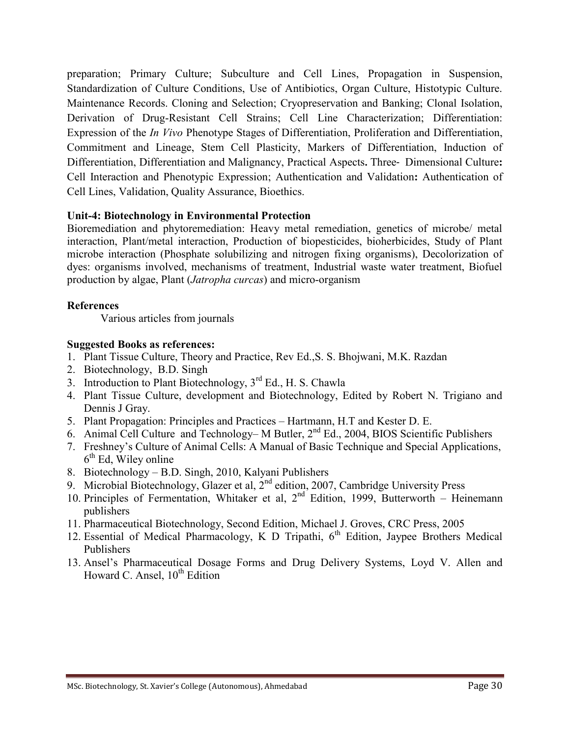preparation; Primary Culture; Subculture and Cell Lines, Propagation in Suspension, Standardization of Culture Conditions, Use of Antibiotics, Organ Culture, Histotypic Culture. Maintenance Records. Cloning and Selection; Cryopreservation and Banking; Clonal Isolation, Derivation of Drug-Resistant Cell Strains; Cell Line Characterization; Differentiation: Expression of the *In Vivo* Phenotype Stages of Differentiation, Proliferation and Differentiation, Commitment and Lineage, Stem Cell Plasticity, Markers of Differentiation, Induction of Differentiation, Differentiation and Malignancy, Practical Aspects**.** Three‐ Dimensional Culture**:** Cell Interaction and Phenotypic Expression; Authentication and Validation**:** Authentication of Cell Lines, Validation, Quality Assurance, Bioethics.

## **Unit-4: Biotechnology in Environmental Protection**

Bioremediation and phytoremediation: Heavy metal remediation, genetics of microbe/ metal interaction, Plant/metal interaction, Production of biopesticides, bioherbicides, Study of Plant microbe interaction (Phosphate solubilizing and nitrogen fixing organisms), Decolorization of dyes: organisms involved, mechanisms of treatment, Industrial waste water treatment, Biofuel production by algae, Plant (*Jatropha curcas*) and micro-organism

## **References**

Various articles from journals

- 1. Plant Tissue Culture, Theory and Practice, Rev Ed.,S. S. Bhojwani, M.K. Razdan
- 2. Biotechnology, B.D. Singh
- 3. Introduction to Plant Biotechnology,  $3^{rd}$  Ed., H. S. Chawla
- 4. Plant Tissue Culture, development and Biotechnology, Edited by Robert N. Trigiano and Dennis J Gray.
- 5. Plant Propagation: Principles and Practices Hartmann, H.T and Kester D. E.
- 6. Animal Cell Culture and Technology– M Butler,  $2<sup>nd</sup> Ed.$ , 2004, BIOS Scientific Publishers
- 7. Freshney's Culture of Animal Cells: A Manual of Basic Technique and Special Applications,  $6<sup>th</sup>$  Ed, Wiley online
- 8. Biotechnology B.D. Singh, 2010, Kalyani Publishers
- 9. Microbial Biotechnology, Glazer et al, 2<sup>nd</sup> edition, 2007, Cambridge University Press
- 10. Principles of Fermentation, Whitaker et al,  $2<sup>nd</sup>$  Edition, 1999, Butterworth Heinemann publishers
- 11. Pharmaceutical Biotechnology, Second Edition, Michael J. Groves, CRC Press, 2005
- 12. Essential of Medical Pharmacology, K D Tripathi,  $6<sup>th</sup>$  Edition, Jaypee Brothers Medical Publishers
- 13. Ansel's Pharmaceutical Dosage Forms and Drug Delivery Systems, Loyd V. Allen and Howard C. Ansel,  $10^{th}$  Edition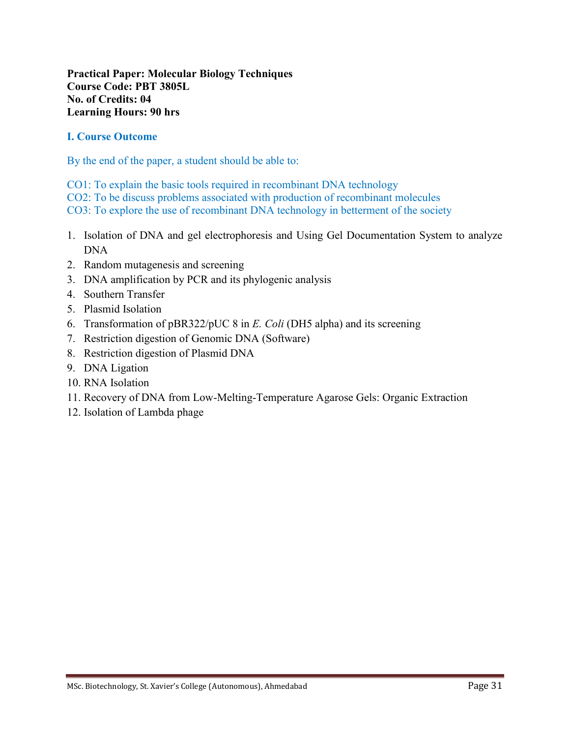**Practical Paper: Molecular Biology Techniques Course Code: PBT 3805L No. of Credits: 04 Learning Hours: 90 hrs**

## **I. Course Outcome**

By the end of the paper, a student should be able to:

CO1: To explain the basic tools required in recombinant DNA technology CO2: To be discuss problems associated with production of recombinant molecules

CO3: To explore the use of recombinant DNA technology in betterment of the society

- 1. Isolation of DNA and gel electrophoresis and Using Gel Documentation System to analyze DNA
- 2. Random mutagenesis and screening
- 3. DNA amplification by PCR and its phylogenic analysis
- 4. Southern Transfer
- 5. Plasmid Isolation
- 6. Transformation of pBR322/pUC 8 in *E. Coli* (DH5 alpha) and its screening
- 7. Restriction digestion of Genomic DNA (Software)
- 8. Restriction digestion of Plasmid DNA
- 9. DNA Ligation
- 10. RNA Isolation
- 11. Recovery of DNA from Low-Melting-Temperature Agarose Gels: Organic Extraction
- 12. Isolation of Lambda phage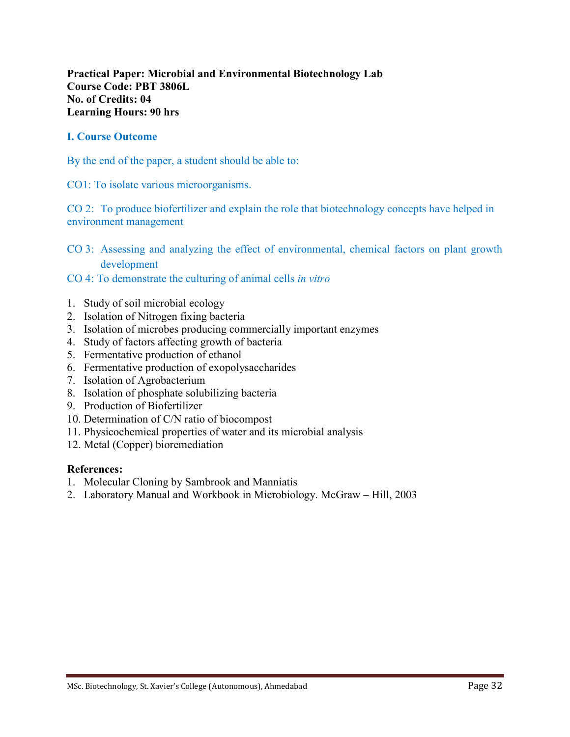**Practical Paper: Microbial and Environmental Biotechnology Lab Course Code: PBT 3806L No. of Credits: 04 Learning Hours: 90 hrs**

## **I. Course Outcome**

By the end of the paper, a student should be able to:

CO1: To isolate various microorganisms.

CO 2: To produce biofertilizer and explain the role that biotechnology concepts have helped in environment management

- CO 3: Assessing and analyzing the effect of environmental, chemical factors on plant growth development
- CO 4: To demonstrate the culturing of animal cells *in vitro*
- 1. Study of soil microbial ecology
- 2. Isolation of Nitrogen fixing bacteria
- 3. Isolation of microbes producing commercially important enzymes
- 4. Study of factors affecting growth of bacteria
- 5. Fermentative production of ethanol
- 6. Fermentative production of exopolysaccharides
- 7. Isolation of Agrobacterium
- 8. Isolation of phosphate solubilizing bacteria
- 9. Production of Biofertilizer
- 10. Determination of C/N ratio of biocompost
- 11. Physicochemical properties of water and its microbial analysis
- 12. Metal (Copper) bioremediation

#### **References:**

- 1. Molecular Cloning by Sambrook and Manniatis
- 2. Laboratory Manual and Workbook in Microbiology. McGraw Hill, 2003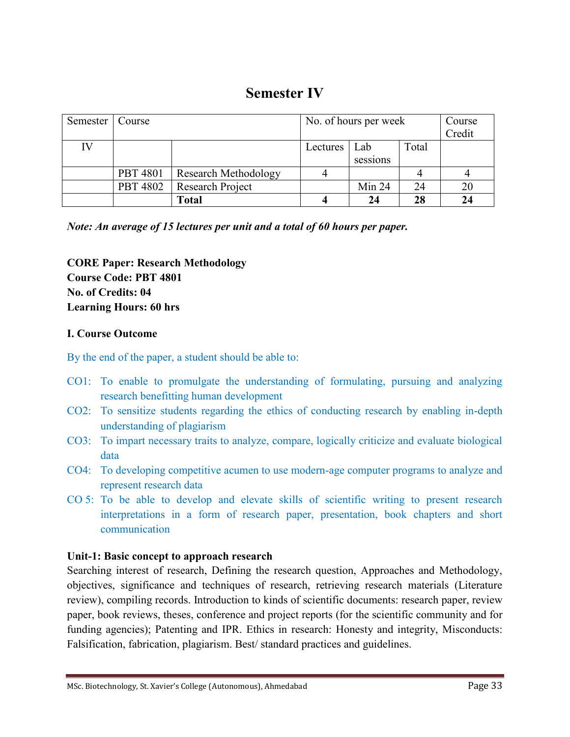## **Semester IV**

| Semester   Course |                 |                             | No. of hours per week |          |       | Course |
|-------------------|-----------------|-----------------------------|-----------------------|----------|-------|--------|
|                   |                 |                             |                       |          |       | Credit |
| IV                |                 |                             | Lectures              | Lab      | Total |        |
|                   |                 |                             |                       | sessions |       |        |
|                   | <b>PBT 4801</b> | <b>Research Methodology</b> |                       |          |       |        |
|                   | <b>PBT 4802</b> | <b>Research Project</b>     |                       | Min 24   | 24    | 20     |
|                   |                 | <b>Total</b>                |                       | 24       | 28    | 24     |

*Note: An average of 15 lectures per unit and a total of 60 hours per paper.*

**CORE Paper: Research Methodology Course Code: PBT 4801 No. of Credits: 04 Learning Hours: 60 hrs**

## **I. Course Outcome**

By the end of the paper, a student should be able to:

- CO1: To enable to promulgate the understanding of formulating, pursuing and analyzing research benefitting human development
- CO2: To sensitize students regarding the ethics of conducting research by enabling in-depth understanding of plagiarism
- CO3: To impart necessary traits to analyze, compare, logically criticize and evaluate biological data
- CO4: To developing competitive acumen to use modern-age computer programs to analyze and represent research data
- CO 5: To be able to develop and elevate skills of scientific writing to present research interpretations in a form of research paper, presentation, book chapters and short communication

#### **Unit-1: Basic concept to approach research**

Searching interest of research, Defining the research question, Approaches and Methodology, objectives, significance and techniques of research, retrieving research materials (Literature review), compiling records. Introduction to kinds of scientific documents: research paper, review paper, book reviews, theses, conference and project reports (for the scientific community and for funding agencies); Patenting and IPR. Ethics in research: Honesty and integrity, Misconducts: Falsification, fabrication, plagiarism. Best/ standard practices and guidelines.